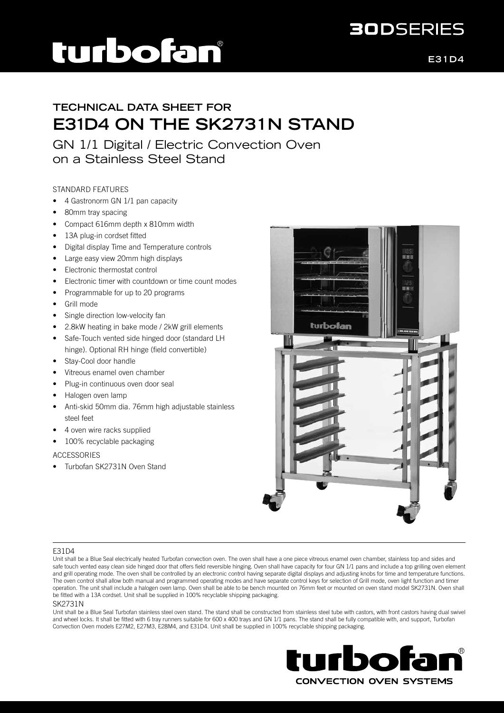## turbofan

**E31D4**

**30DSERIES** 

### **TECHNICAL DATA SHEET FOR E31D4 ON THE SK2731N STAND**

GN 1/1 Digital / Electric Convection Oven on a Stainless Steel Stand

#### STANDARD FEATURES

- 4 Gastronorm GN 1/1 pan capacity
- 80mm tray spacing
- Compact 616mm depth x 810mm width
- 13A plug-in cordset fitted
- Digital display Time and Temperature controls
- Large easy view 20mm high displays
- Electronic thermostat control
- Electronic timer with countdown or time count modes
- Programmable for up to 20 programs
- Grill mode
- Single direction low-velocity fan
- 2.8kW heating in bake mode / 2kW grill elements
- Safe-Touch vented side hinged door (standard LH hinge). Optional RH hinge (field convertible)
- Stay-Cool door handle
- Vitreous enamel oven chamber
- Plug-in continuous oven door seal
- Halogen oven lamp
- Anti-skid 50mm dia. 76mm high adjustable stainless steel feet
- 4 oven wire racks supplied
- 100% recyclable packaging

#### **ACCESSORIES**

• Turbofan SK2731N Oven Stand



#### E31D4

#### SK2731N

Unit shall be a Blue Seal Turbofan stainless steel oven stand. The stand shall be constructed from stainless steel tube with castors, with front castors having dual swivel and wheel locks. It shall be fitted with 6 tray runners suitable for 600 x 400 trays and GN 1/1 pans. The stand shall be fully compatible with, and support, Turbofan Convection Oven models E27M2, E27M3, E28M4, and E31D4. Unit shall be supplied in 100% recyclable shipping packaging.



Unit shall be a Blue Seal electrically heated Turbofan convection oven. The oven shall have a one piece vitreous enamel oven chamber, stainless top and sides and safe touch vented easy clean side hinged door that offers field reversible hinging. Oven shall have capacity for four GN 1/1 pans and include a top grilling oven element and grill operating mode. The oven shall be controlled by an electronic control having separate digital displays and adjusting knobs for time and temperature functions. The oven control shall allow both manual and programmed operating modes and have separate control keys for selection of Grill mode, oven light function and timer operation. The unit shall include a halogen oven lamp. Oven shall be able to be bench mounted on 76mm feet or mounted on oven stand model SK2731N. Oven shall be fitted with a 13A cordset. Unit shall be supplied in 100% recyclable shipping packaging.